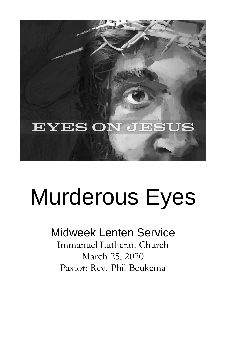

# Murderous Eyes

# Midweek Lenten Service

Immanuel Lutheran Church March 25, 2020 Pastor: Rev. Phil Beukema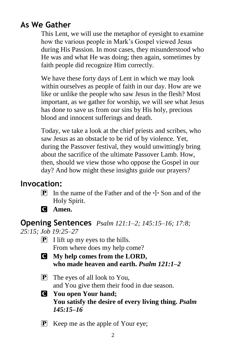# **As We Gather**

This Lent, we will use the metaphor of eyesight to examine how the various people in Mark's Gospel viewed Jesus during His Passion. In most cases, they misunderstood who He was and what He was doing; then again, sometimes by faith people did recognize Him correctly.

We have these forty days of Lent in which we may look within ourselves as people of faith in our day. How are we like or unlike the people who saw Jesus in the flesh? Most important, as we gather for worship, we will see what Jesus has done to save us from our sins by His holy, precious blood and innocent sufferings and death.

Today, we take a look at the chief priests and scribes, who saw Jesus as an obstacle to be rid of by violence. Yet, during the Passover festival, they would unwittingly bring about the sacrifice of the ultimate Passover Lamb. How, then, should we view those who oppose the Gospel in our day? And how might these insights guide our prayers?

# **Invocation:**

- **P** In the name of the Father and of the  $\pm$  Son and of the Holy Spirit.
- C **Amen.**

#### **Opening Sentences** *Psalm 121:1–2; 145:15–16; 17:8;*

*25:15; Job 19:25–27*

- $\boxed{\mathbf{P}}$  I lift up my eyes to the hills. From where does my help come?
- C **My help comes from the LORD, who made heaven and earth.** *Psalm 121:1–2*
- P The eyes of all look to You, and You give them their food in due season.
- C **You open Your hand; You satisfy the desire of every living thing.** *Psalm 145:15–16*
- P Keep me as the apple of Your eye;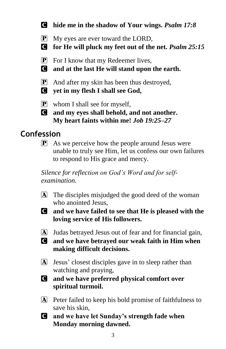- C **hide me in the shadow of Your wings.** *Psalm 17:8*
- P My eyes are ever toward the LORD,
- C **for He will pluck my feet out of the net.** *Psalm 25:15*
- $\boxed{\mathbf{P}}$  For I know that my Redeemer lives,
- C **and at the last He will stand upon the earth.**
- P And after my skin has been thus destroyed,
- C **yet in my flesh I shall see God,**
- $\boxed{\mathbf{P}}$  whom I shall see for myself,
- C **and my eyes shall behold, and not another. My heart faints within me!** *Job 19:25–27*

# **Confession**

 $\mathbf{P}$  As we perceive how the people around Jesus were unable to truly see Him, let us confess our own failures to respond to His grace and mercy.

*Silence for reflection on God's Word and for selfexamination.*

- A The disciples misjudged the good deed of the woman who anointed Jesus,
- C **and we have failed to see that He is pleased with the loving service of His followers.**
- A Judas betrayed Jesus out of fear and for financial gain,
- C **and we have betrayed our weak faith in Him when making difficult decisions.**
- A Jesus' closest disciples gave in to sleep rather than watching and praying,
- C **and we have preferred physical comfort over spiritual turmoil.**
- A Peter failed to keep his bold promise of faithfulness to save his skin,
- C **and we have let Sunday's strength fade when Monday morning dawned.**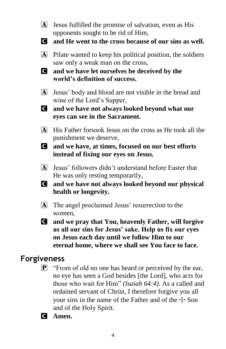- A Jesus fulfilled the promise of salvation, even as His opponents sought to be rid of Him,
- C **and He went to the cross because of our sins as well.**
- A Pilate wanted to keep his political position, the soldiers saw only a weak man on the cross,
- C **and we have let ourselves be deceived by the world's definition of success.**
- A Jesus' body and blood are not visible in the bread and wine of the Lord's Supper,
- C **and we have not always looked beyond what our eyes can see in the Sacrament.**
- A His Father forsook Jesus on the cross as He took all the punishment we deserve,
- C **and we have, at times, focused on our best efforts instead of fixing our eyes on Jesus.**
- A Jesus' followers didn't understand before Easter that He was only resting temporarily,
- C **and we have not always looked beyond our physical health or longevity.**
- A The angel proclaimed Jesus' resurrection to the women,
- C **and we pray that You, heavenly Father, will forgive us all our sins for Jesus' sake. Help us fix our eyes on Jesus each day until we follow Him to our eternal home, where we shall see You face to face.**

#### **Forgiveness**

- $\mathbf{P}$  "From of old no one has heard or perceived by the ear, no eye has seen a God besides [the Lord], who acts for those who wait for Him" *(Isaiah 64:4).* As a called and ordained servant of Christ, I therefore forgive you all your sins in the name of the Father and of the  $\pm$  Son and of the Holy Spirit.
- C **Amen.**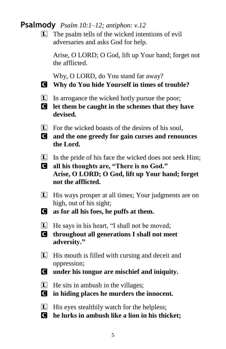#### **Psalmody** *Psalm 10:1–12; antiphon: v.12*

 $\Box$  The psalm tells of the wicked intentions of evil adversaries and asks God for help.

Arise, O LORD; O God, lift up Your hand; forget not the afflicted.

Why, O LORD, do You stand far away?

- C **Why do You hide Yourself in times of trouble?**
- L In arrogance the wicked hotly pursue the poor;
- C **let them be caught in the schemes that they have devised.**
- $[L]$  For the wicked boasts of the desires of his soul,
- C **and the one greedy for gain curses and renounces the Lord.**
- $\Box$  In the pride of his face the wicked does not seek Him;
- C **all his thoughts are, "There is no God." Arise, O LORD; O God, lift up Your hand; forget not the afflicted.**
- L His ways prosper at all times; Your judgments are on high, out of his sight;
- C **as for all his foes, he puffs at them.**
- L He says in his heart, "I shall not be moved;
- C **throughout all generations I shall not meet adversity."**
- L His mouth is filled with cursing and deceit and oppression;
- C **under his tongue are mischief and iniquity.**
- $\Box$  He sits in ambush in the villages;
- C **in hiding places he murders the innocent.**
- $\Box$  His eyes stealthily watch for the helpless;
- C **he lurks in ambush like a lion in his thicket;**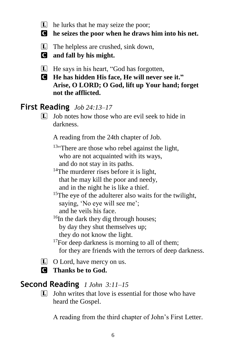- $\boxed{\mathbf{L}}$  he lurks that he may seize the poor;
- C **he seizes the poor when he draws him into his net.**
- L The helpless are crushed, sink down,
- C **and fall by his might.**
- L He says in his heart, "God has forgotten,
- C **He has hidden His face, He will never see it." Arise, O LORD; O God, lift up Your hand; forget not the afflicted.**

# **First Reading** *Job 24:13–17*

 $\Box$  Job notes how those who are evil seek to hide in darkness.

A reading from the 24th chapter of Job.

<sup>13"</sup>There are those who rebel against the light, who are not acquainted with its ways, and do not stay in its paths.

- $14$ The murderer rises before it is light, that he may kill the poor and needy, and in the night he is like a thief.
- <sup>15</sup>The eye of the adulterer also waits for the twilight, saying, 'No eye will see me'; and he veils his face.

 $16$ In the dark they dig through houses; by day they shut themselves up; they do not know the light.

 $17$ For deep darkness is morning to all of them; for they are friends with the terrors of deep darkness.

- $\Box$  O Lord, have mercy on us.
- C **Thanks be to God.**

# **Second Reading** *1 John 3:11–15*

 $\Box$  John writes that love is essential for those who have heard the Gospel.

A reading from the third chapter of John's First Letter.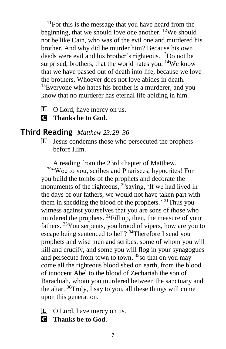$11$ For this is the message that you have heard from the beginning, that we should love one another.  $12$ We should not be like Cain, who was of the evil one and murdered his brother. And why did he murder him? Because his own deeds were evil and his brother's righteous. <sup>13</sup>Do not be surprised, brothers, that the world hates you.  $14$ We know that we have passed out of death into life, because we love the brothers. Whoever does not love abides in death. <sup>15</sup>Everyone who hates his brother is a murderer, and you know that no murderer has eternal life abiding in him.

- L O Lord, have mercy on us.
- C **Thanks be to God.**

#### **Third Reading** *Matthew 23:29–36*

L Jesus condemns those who persecuted the prophets before Him.

A reading from the 23rd chapter of Matthew.

<sup>29</sup>"Woe to you, scribes and Pharisees, hypocrites! For you build the tombs of the prophets and decorate the monuments of the righteous,  $3\overline{0}$ saying, 'If we had lived in the days of our fathers, we would not have taken part with them in shedding the blood of the prophets.<sup>31</sup>Thus you witness against yourselves that you are sons of those who murdered the prophets.  $^{32}$ Fill up, then, the measure of your fathers. <sup>33</sup>You serpents, you brood of vipers, how are you to escape being sentenced to hell? <sup>34</sup>Therefore I send you prophets and wise men and scribes, some of whom you will kill and crucify, and some you will flog in your synagogues and persecute from town to town,  $35$  so that on you may come all the righteous blood shed on earth, from the blood of innocent Abel to the blood of Zechariah the son of Barachiah, whom you murdered between the sanctuary and the altar.  $36$ Truly, I say to you, all these things will come upon this generation.

- $\Box$  O Lord, have mercy on us.
- C **Thanks be to God.**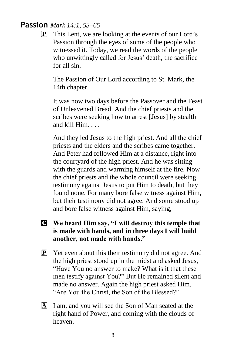#### **Passion** *Mark 14:1, 53–65*

 $\mathbf{P}$  This Lent, we are looking at the events of our Lord's Passion through the eyes of some of the people who witnessed it. Today, we read the words of the people who unwittingly called for Jesus' death, the sacrifice for all sin.

The Passion of Our Lord according to St. Mark, the 14th chapter.

It was now two days before the Passover and the Feast of Unleavened Bread. And the chief priests and the scribes were seeking how to arrest [Jesus] by stealth and kill Him. . . .

And they led Jesus to the high priest. And all the chief priests and the elders and the scribes came together. And Peter had followed Him at a distance, right into the courtyard of the high priest. And he was sitting with the guards and warming himself at the fire. Now the chief priests and the whole council were seeking testimony against Jesus to put Him to death, but they found none. For many bore false witness against Him, but their testimony did not agree. And some stood up and bore false witness against Him, saying,

- C **We heard Him say, "I will destroy this temple that is made with hands, and in three days I will build another, not made with hands."**
- $\mathbf{P}$  Yet even about this their testimony did not agree. And the high priest stood up in the midst and asked Jesus, "Have You no answer to make? What is it that these men testify against You?" But He remained silent and made no answer. Again the high priest asked Him, "Are You the Christ, the Son of the Blessed?"
- A I am, and you will see the Son of Man seated at the right hand of Power, and coming with the clouds of heaven.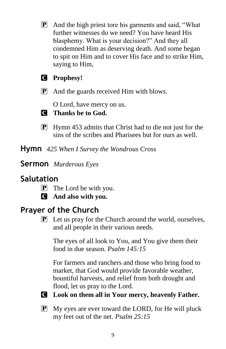P And the high priest tore his garments and said, "What further witnesses do we need? You have heard His blasphemy. What is your decision?" And they all condemned Him as deserving death. And some began to spit on Him and to cover His face and to strike Him, saying to Him,

#### C **Prophesy!**

P And the guards received Him with blows.

O Lord, have mercy on us.

#### C **Thanks be to God.**

**P** Hymn 453 admits that Christ had to die not just for the sins of the scribes and Pharisees but for ours as well.

**Hymn** *425 When I Survey the Wondrous Cross*

**Sermon** *Murderous Eyes*

# **Salutation**

- $\boxed{\mathbf{P}}$  The Lord be with you.
- C **And also with you.**

# **Prayer of the Church**

 $\boxed{\mathbf{P}}$  Let us pray for the Church around the world, ourselves, and all people in their various needs.

The eyes of all look to You, and You give them their food in due season. *Psalm 145:15*

For farmers and ranchers and those who bring food to market, that God would provide favorable weather, bountiful harvests, and relief from both drought and flood, let us pray to the Lord.

C **Look on them all in Your mercy, heavenly Father.**

P My eyes are ever toward the LORD, for He will pluck my feet out of the net. *Psalm 25:15*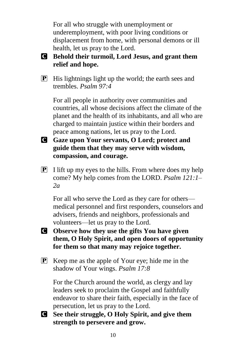For all who struggle with unemployment or underemployment, with poor living conditions or displacement from home, with personal demons or ill health, let us pray to the Lord.

#### C **Behold their turmoil, Lord Jesus, and grant them relief and hope.**

 $\mathbf{P}$  His lightnings light up the world; the earth sees and trembles. *Psalm 97:4*

For all people in authority over communities and countries, all whose decisions affect the climate of the planet and the health of its inhabitants, and all who are charged to maintain justice within their borders and peace among nations, let us pray to the Lord.

- C **Gaze upon Your servants, O Lord; protect and guide them that they may serve with wisdom, compassion, and courage.**
- $\boxed{\mathbf{P}}$  I lift up my eyes to the hills. From where does my help come? My help comes from the LORD. *Psalm 121:1– 2a*

For all who serve the Lord as they care for others medical personnel and first responders, counselors and advisers, friends and neighbors, professionals and volunteers—let us pray to the Lord.

- C **Observe how they use the gifts You have given them, O Holy Spirit, and open doors of opportunity for them so that many may rejoice together.**
- P Keep me as the apple of Your eye; hide me in the shadow of Your wings. *Psalm 17:8*

For the Church around the world, as clergy and lay leaders seek to proclaim the Gospel and faithfully endeavor to share their faith, especially in the face of persecution, let us pray to the Lord.

C **See their struggle, O Holy Spirit, and give them strength to persevere and grow.**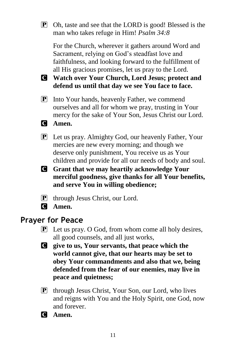P Oh, taste and see that the LORD is good! Blessed is the man who takes refuge in Him! *Psalm 34:8*

For the Church, wherever it gathers around Word and Sacrament, relying on God's steadfast love and faithfulness, and looking forward to the fulfillment of all His gracious promises, let us pray to the Lord.

- C **Watch over Your Church, Lord Jesus; protect and defend us until that day we see You face to face.**
- **P** Into Your hands, heavenly Father, we commend ourselves and all for whom we pray, trusting in Your mercy for the sake of Your Son, Jesus Christ our Lord.
- C **Amen.**
- P Let us pray. Almighty God, our heavenly Father, Your mercies are new every morning; and though we deserve only punishment, You receive us as Your children and provide for all our needs of body and soul.
- C **Grant that we may heartily acknowledge Your merciful goodness, give thanks for all Your benefits, and serve You in willing obedience;**
- $\mathbf{P}$  through Jesus Christ, our Lord.
- C **Amen.**

#### **Prayer for Peace**

- P Let us pray. O God, from whom come all holy desires, all good counsels, and all just works,
- C **give to us, Your servants, that peace which the world cannot give, that our hearts may be set to obey Your commandments and also that we, being defended from the fear of our enemies, may live in peace and quietness;**
- P through Jesus Christ, Your Son, our Lord, who lives and reigns with You and the Holy Spirit, one God, now and forever.
- C **Amen.**